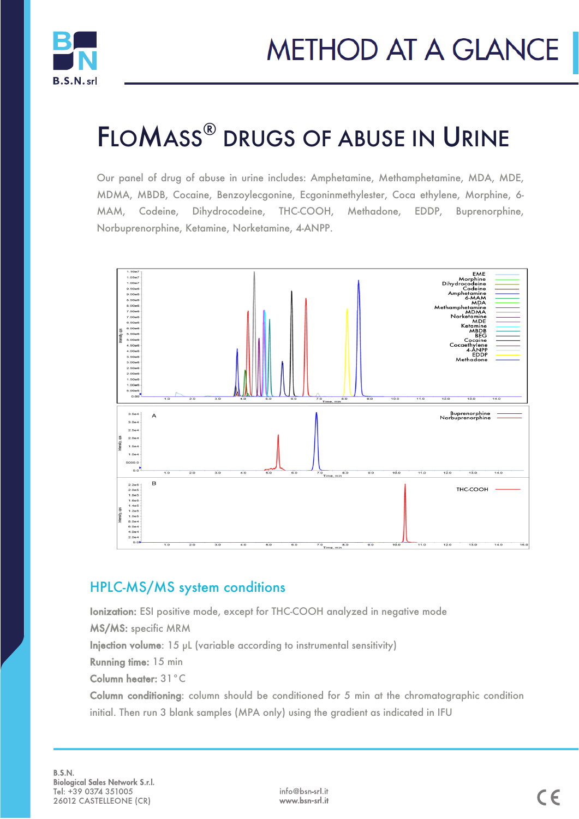

# FLOMASS® DRUGS OF ABUSE IN URINE

Our panel of drug of abuse in urine includes: Amphetamine, Methamphetamine, MDA, MDE, MDMA, MBDB, Cocaine, Benzoylecgonine, Ecgoninmethylester, Coca ethylene, Morphine, 6- MAM, Codeine, Dihydrocodeine, THC-COOH, Methadone, EDDP, Buprenorphine, Norbuprenorphine, Ketamine, Norketamine, 4-ANPP.



### HPLC-MS/MS system conditions

Ionization: ESI positive mode, except for THC-COOH analyzed in negative mode

MS/MS: specific MRM

Injection volume: 15 µL (variable according to instrumental sensitivity)

Running time: 15 min

Column heater: 31°C

Column conditioning: column should be conditioned for 5 min at the chromatographic condition initial. Then run 3 blank samples (MPA only) using the gradient as indicated in IFU